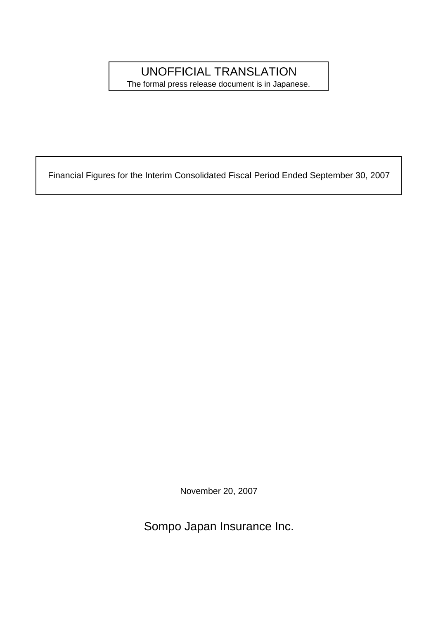## UNOFFICIAL TRANSLATION

The formal press release document is in Japanese.

Financial Figures for the Interim Consolidated Fiscal Period Ended September 30, 2007

November 20, 2007

Sompo Japan Insurance Inc.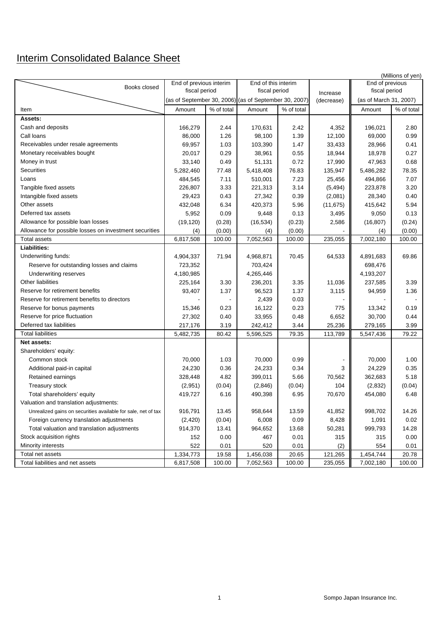## Interim Consolidated Balance Sheet

| End of previous interim<br>End of this interim<br>Books closed<br>fiscal period<br>fiscal period<br>fiscal period<br>Increase<br>(as of September 30, 2006) (as of September 30, 2007)<br>(as of March 31, 2007)<br>(decrease)<br>% of total<br>% of total<br>% of total<br>Amount<br>Amount<br>Amount<br>Item<br>Assets:<br>Cash and deposits<br>166,279<br>2.44<br>170,631<br>2.42<br>4,352<br>196,021<br>2.80<br>Call loans<br>86,000<br>1.26<br>98,100<br>1.39<br>12,100<br>69,000<br>0.99<br>Receivables under resale agreements<br>69,957<br>1.03<br>103,390<br>1.47<br>33,433<br>28,966<br>0.41<br>Monetary receivables bought<br>20,017<br>0.29<br>38,961<br>0.55<br>18,944<br>18,978<br>0.27<br>Money in trust<br>33,140<br>0.49<br>51,131<br>0.72<br>17,990<br>47,963<br>0.68<br>Securities<br>5,282,460<br>77.48<br>5,418,408<br>76.83<br>135,947<br>5,486,282<br>78.35<br>Loans<br>484,545<br>7.11<br>510,001<br>7.23<br>25,456<br>494,866<br>7.07<br>Tangible fixed assets<br>3.20<br>226,807<br>3.33<br>221,313<br>3.14<br>223,878<br>(5, 494)<br>Intangible fixed assets<br>29,423<br>0.43<br>27,342<br>0.39<br>(2,081)<br>28,340<br>0.40<br>Other assets<br>432,048<br>6.34<br>420,373<br>5.96<br>(11, 675)<br>415,642<br>5.94<br>Deferred tax assets<br>5,952<br>0.09<br>9,050<br>0.13<br>9,448<br>0.13<br>3,495<br>Allowance for possible loan losses<br>(19, 120)<br>(0.28)<br>(16, 534)<br>(0.23)<br>2,586<br>(16, 807)<br>(0.24)<br>Allowance for possible losses on investment securities<br>(4)<br>(0.00)<br>(0.00)<br>(4)<br>(0.00)<br>(4)<br><b>Total assets</b><br>7,052,563<br>7,002,180<br>6,817,508<br>100.00<br>100.00<br>235,055<br>100.00<br><b>Liabilities:</b><br>Underwriting funds:<br>71.94<br>4,968,871<br>70.45<br>64,533<br>69.86<br>4,904,337<br>4,891,683<br>723,352<br>703,424<br>698,476<br>Reserve for outstanding losses and claims<br>4,265,446<br>4,180,985<br>4,193,207<br>Underwriting reserves<br>Other liabilities<br>225,164<br>3.30<br>236,201<br>3.35<br>11,036<br>237,585<br>3.39<br>Reserve for retirement benefits<br>93,407<br>1.37<br>96,523<br>1.37<br>3,115<br>94,959<br>1.36<br>Reserve for retirement benefits to directors<br>2,439<br>0.03<br>Reserve for bonus payments<br>15,346<br>0.23<br>16,122<br>0.23<br>775<br>13,342<br>0.19<br>Reserve for price fluctuation<br>27,302<br>0.40<br>33,955<br>0.48<br>6,652<br>30,700<br>0.44<br>Deferred tax liabilities<br>217,176<br>3.19<br>242,412<br>3.44<br>25,236<br>279,165<br>3.99<br><b>Total liabilities</b><br>79.35<br>79.22<br>5,482,735<br>80.42<br>5,596,525<br>113,789<br>5,547,436<br>Net assets:<br>Shareholders' equity:<br>70,000<br>1.03<br>0.99<br>70,000<br>1.00<br>Common stock<br>70,000<br>24,230<br>0.36<br>24,233<br>0.34<br>24,229<br>0.35<br>Additional paid-in capital<br>3<br>328,448<br>4.82<br>399,011<br>5.66<br>70,562<br>362,683<br>5.18<br>Retained earnings<br>Treasury stock<br>(0.04)<br>104<br>(2,951)<br>(0.04)<br>(2,846)<br>(2,832)<br>(0.04)<br>419,727<br>6.16<br>490,398<br>6.95<br>70,670<br>454,080<br>6.48<br>Total shareholders' equity<br>Valuation and translation adjustments:<br>916,791<br>13.45<br>958,644<br>13.59<br>41,852<br>998,702<br>14.26<br>Unrealized gains on securities available for sale, net of tax<br>(2, 420)<br>(0.04)<br>6,008<br>0.09<br>8,428<br>0.02<br>Foreign currency translation adjustments<br>1,091<br>Total valuation and translation adjustments<br>914,370<br>13.41<br>964,652<br>50,281<br>999,793<br>14.28<br>13.68<br>Stock acquisition rights<br>0.00<br>0.01<br>0.00<br>467<br>315<br>315<br>152<br>Minority interests<br>522<br>0.01<br>520<br>(2)<br>554<br>0.01<br>0.01<br>Total net assets<br>1,334,773<br>19.58<br>1,456,038<br>20.65<br>121,265<br>1,454,744<br>20.78<br>100.00 |                                  | (Millions of yen) |        |           |  |         |                 |        |  |  |  |  |
|-------------------------------------------------------------------------------------------------------------------------------------------------------------------------------------------------------------------------------------------------------------------------------------------------------------------------------------------------------------------------------------------------------------------------------------------------------------------------------------------------------------------------------------------------------------------------------------------------------------------------------------------------------------------------------------------------------------------------------------------------------------------------------------------------------------------------------------------------------------------------------------------------------------------------------------------------------------------------------------------------------------------------------------------------------------------------------------------------------------------------------------------------------------------------------------------------------------------------------------------------------------------------------------------------------------------------------------------------------------------------------------------------------------------------------------------------------------------------------------------------------------------------------------------------------------------------------------------------------------------------------------------------------------------------------------------------------------------------------------------------------------------------------------------------------------------------------------------------------------------------------------------------------------------------------------------------------------------------------------------------------------------------------------------------------------------------------------------------------------------------------------------------------------------------------------------------------------------------------------------------------------------------------------------------------------------------------------------------------------------------------------------------------------------------------------------------------------------------------------------------------------------------------------------------------------------------------------------------------------------------------------------------------------------------------------------------------------------------------------------------------------------------------------------------------------------------------------------------------------------------------------------------------------------------------------------------------------------------------------------------------------------------------------------------------------------------------------------------------------------------------------------------------------------------------------------------------------------------------------------------------------------------------------------------------------------------------------------------------------------------------------------------------------------------------------------------------------------------------------------------------------------------------------------------------------------------------------------------------------------------------------------------------------------------------------------------------------------------------------------------------------------------------------------------|----------------------------------|-------------------|--------|-----------|--|---------|-----------------|--------|--|--|--|--|
|                                                                                                                                                                                                                                                                                                                                                                                                                                                                                                                                                                                                                                                                                                                                                                                                                                                                                                                                                                                                                                                                                                                                                                                                                                                                                                                                                                                                                                                                                                                                                                                                                                                                                                                                                                                                                                                                                                                                                                                                                                                                                                                                                                                                                                                                                                                                                                                                                                                                                                                                                                                                                                                                                                                                                                                                                                                                                                                                                                                                                                                                                                                                                                                                                                                                                                                                                                                                                                                                                                                                                                                                                                                                                                                                                                                                 |                                  |                   |        |           |  |         | End of previous |        |  |  |  |  |
|                                                                                                                                                                                                                                                                                                                                                                                                                                                                                                                                                                                                                                                                                                                                                                                                                                                                                                                                                                                                                                                                                                                                                                                                                                                                                                                                                                                                                                                                                                                                                                                                                                                                                                                                                                                                                                                                                                                                                                                                                                                                                                                                                                                                                                                                                                                                                                                                                                                                                                                                                                                                                                                                                                                                                                                                                                                                                                                                                                                                                                                                                                                                                                                                                                                                                                                                                                                                                                                                                                                                                                                                                                                                                                                                                                                                 |                                  |                   |        |           |  |         |                 |        |  |  |  |  |
|                                                                                                                                                                                                                                                                                                                                                                                                                                                                                                                                                                                                                                                                                                                                                                                                                                                                                                                                                                                                                                                                                                                                                                                                                                                                                                                                                                                                                                                                                                                                                                                                                                                                                                                                                                                                                                                                                                                                                                                                                                                                                                                                                                                                                                                                                                                                                                                                                                                                                                                                                                                                                                                                                                                                                                                                                                                                                                                                                                                                                                                                                                                                                                                                                                                                                                                                                                                                                                                                                                                                                                                                                                                                                                                                                                                                 |                                  |                   |        |           |  |         |                 |        |  |  |  |  |
|                                                                                                                                                                                                                                                                                                                                                                                                                                                                                                                                                                                                                                                                                                                                                                                                                                                                                                                                                                                                                                                                                                                                                                                                                                                                                                                                                                                                                                                                                                                                                                                                                                                                                                                                                                                                                                                                                                                                                                                                                                                                                                                                                                                                                                                                                                                                                                                                                                                                                                                                                                                                                                                                                                                                                                                                                                                                                                                                                                                                                                                                                                                                                                                                                                                                                                                                                                                                                                                                                                                                                                                                                                                                                                                                                                                                 |                                  |                   |        |           |  |         |                 |        |  |  |  |  |
|                                                                                                                                                                                                                                                                                                                                                                                                                                                                                                                                                                                                                                                                                                                                                                                                                                                                                                                                                                                                                                                                                                                                                                                                                                                                                                                                                                                                                                                                                                                                                                                                                                                                                                                                                                                                                                                                                                                                                                                                                                                                                                                                                                                                                                                                                                                                                                                                                                                                                                                                                                                                                                                                                                                                                                                                                                                                                                                                                                                                                                                                                                                                                                                                                                                                                                                                                                                                                                                                                                                                                                                                                                                                                                                                                                                                 |                                  |                   |        |           |  |         |                 |        |  |  |  |  |
|                                                                                                                                                                                                                                                                                                                                                                                                                                                                                                                                                                                                                                                                                                                                                                                                                                                                                                                                                                                                                                                                                                                                                                                                                                                                                                                                                                                                                                                                                                                                                                                                                                                                                                                                                                                                                                                                                                                                                                                                                                                                                                                                                                                                                                                                                                                                                                                                                                                                                                                                                                                                                                                                                                                                                                                                                                                                                                                                                                                                                                                                                                                                                                                                                                                                                                                                                                                                                                                                                                                                                                                                                                                                                                                                                                                                 |                                  |                   |        |           |  |         |                 |        |  |  |  |  |
|                                                                                                                                                                                                                                                                                                                                                                                                                                                                                                                                                                                                                                                                                                                                                                                                                                                                                                                                                                                                                                                                                                                                                                                                                                                                                                                                                                                                                                                                                                                                                                                                                                                                                                                                                                                                                                                                                                                                                                                                                                                                                                                                                                                                                                                                                                                                                                                                                                                                                                                                                                                                                                                                                                                                                                                                                                                                                                                                                                                                                                                                                                                                                                                                                                                                                                                                                                                                                                                                                                                                                                                                                                                                                                                                                                                                 |                                  |                   |        |           |  |         |                 |        |  |  |  |  |
|                                                                                                                                                                                                                                                                                                                                                                                                                                                                                                                                                                                                                                                                                                                                                                                                                                                                                                                                                                                                                                                                                                                                                                                                                                                                                                                                                                                                                                                                                                                                                                                                                                                                                                                                                                                                                                                                                                                                                                                                                                                                                                                                                                                                                                                                                                                                                                                                                                                                                                                                                                                                                                                                                                                                                                                                                                                                                                                                                                                                                                                                                                                                                                                                                                                                                                                                                                                                                                                                                                                                                                                                                                                                                                                                                                                                 |                                  |                   |        |           |  |         |                 |        |  |  |  |  |
|                                                                                                                                                                                                                                                                                                                                                                                                                                                                                                                                                                                                                                                                                                                                                                                                                                                                                                                                                                                                                                                                                                                                                                                                                                                                                                                                                                                                                                                                                                                                                                                                                                                                                                                                                                                                                                                                                                                                                                                                                                                                                                                                                                                                                                                                                                                                                                                                                                                                                                                                                                                                                                                                                                                                                                                                                                                                                                                                                                                                                                                                                                                                                                                                                                                                                                                                                                                                                                                                                                                                                                                                                                                                                                                                                                                                 |                                  |                   |        |           |  |         |                 |        |  |  |  |  |
|                                                                                                                                                                                                                                                                                                                                                                                                                                                                                                                                                                                                                                                                                                                                                                                                                                                                                                                                                                                                                                                                                                                                                                                                                                                                                                                                                                                                                                                                                                                                                                                                                                                                                                                                                                                                                                                                                                                                                                                                                                                                                                                                                                                                                                                                                                                                                                                                                                                                                                                                                                                                                                                                                                                                                                                                                                                                                                                                                                                                                                                                                                                                                                                                                                                                                                                                                                                                                                                                                                                                                                                                                                                                                                                                                                                                 |                                  |                   |        |           |  |         |                 |        |  |  |  |  |
|                                                                                                                                                                                                                                                                                                                                                                                                                                                                                                                                                                                                                                                                                                                                                                                                                                                                                                                                                                                                                                                                                                                                                                                                                                                                                                                                                                                                                                                                                                                                                                                                                                                                                                                                                                                                                                                                                                                                                                                                                                                                                                                                                                                                                                                                                                                                                                                                                                                                                                                                                                                                                                                                                                                                                                                                                                                                                                                                                                                                                                                                                                                                                                                                                                                                                                                                                                                                                                                                                                                                                                                                                                                                                                                                                                                                 |                                  |                   |        |           |  |         |                 |        |  |  |  |  |
|                                                                                                                                                                                                                                                                                                                                                                                                                                                                                                                                                                                                                                                                                                                                                                                                                                                                                                                                                                                                                                                                                                                                                                                                                                                                                                                                                                                                                                                                                                                                                                                                                                                                                                                                                                                                                                                                                                                                                                                                                                                                                                                                                                                                                                                                                                                                                                                                                                                                                                                                                                                                                                                                                                                                                                                                                                                                                                                                                                                                                                                                                                                                                                                                                                                                                                                                                                                                                                                                                                                                                                                                                                                                                                                                                                                                 |                                  |                   |        |           |  |         |                 |        |  |  |  |  |
|                                                                                                                                                                                                                                                                                                                                                                                                                                                                                                                                                                                                                                                                                                                                                                                                                                                                                                                                                                                                                                                                                                                                                                                                                                                                                                                                                                                                                                                                                                                                                                                                                                                                                                                                                                                                                                                                                                                                                                                                                                                                                                                                                                                                                                                                                                                                                                                                                                                                                                                                                                                                                                                                                                                                                                                                                                                                                                                                                                                                                                                                                                                                                                                                                                                                                                                                                                                                                                                                                                                                                                                                                                                                                                                                                                                                 |                                  |                   |        |           |  |         |                 |        |  |  |  |  |
|                                                                                                                                                                                                                                                                                                                                                                                                                                                                                                                                                                                                                                                                                                                                                                                                                                                                                                                                                                                                                                                                                                                                                                                                                                                                                                                                                                                                                                                                                                                                                                                                                                                                                                                                                                                                                                                                                                                                                                                                                                                                                                                                                                                                                                                                                                                                                                                                                                                                                                                                                                                                                                                                                                                                                                                                                                                                                                                                                                                                                                                                                                                                                                                                                                                                                                                                                                                                                                                                                                                                                                                                                                                                                                                                                                                                 |                                  |                   |        |           |  |         |                 |        |  |  |  |  |
|                                                                                                                                                                                                                                                                                                                                                                                                                                                                                                                                                                                                                                                                                                                                                                                                                                                                                                                                                                                                                                                                                                                                                                                                                                                                                                                                                                                                                                                                                                                                                                                                                                                                                                                                                                                                                                                                                                                                                                                                                                                                                                                                                                                                                                                                                                                                                                                                                                                                                                                                                                                                                                                                                                                                                                                                                                                                                                                                                                                                                                                                                                                                                                                                                                                                                                                                                                                                                                                                                                                                                                                                                                                                                                                                                                                                 |                                  |                   |        |           |  |         |                 |        |  |  |  |  |
|                                                                                                                                                                                                                                                                                                                                                                                                                                                                                                                                                                                                                                                                                                                                                                                                                                                                                                                                                                                                                                                                                                                                                                                                                                                                                                                                                                                                                                                                                                                                                                                                                                                                                                                                                                                                                                                                                                                                                                                                                                                                                                                                                                                                                                                                                                                                                                                                                                                                                                                                                                                                                                                                                                                                                                                                                                                                                                                                                                                                                                                                                                                                                                                                                                                                                                                                                                                                                                                                                                                                                                                                                                                                                                                                                                                                 |                                  |                   |        |           |  |         |                 |        |  |  |  |  |
|                                                                                                                                                                                                                                                                                                                                                                                                                                                                                                                                                                                                                                                                                                                                                                                                                                                                                                                                                                                                                                                                                                                                                                                                                                                                                                                                                                                                                                                                                                                                                                                                                                                                                                                                                                                                                                                                                                                                                                                                                                                                                                                                                                                                                                                                                                                                                                                                                                                                                                                                                                                                                                                                                                                                                                                                                                                                                                                                                                                                                                                                                                                                                                                                                                                                                                                                                                                                                                                                                                                                                                                                                                                                                                                                                                                                 |                                  |                   |        |           |  |         |                 |        |  |  |  |  |
|                                                                                                                                                                                                                                                                                                                                                                                                                                                                                                                                                                                                                                                                                                                                                                                                                                                                                                                                                                                                                                                                                                                                                                                                                                                                                                                                                                                                                                                                                                                                                                                                                                                                                                                                                                                                                                                                                                                                                                                                                                                                                                                                                                                                                                                                                                                                                                                                                                                                                                                                                                                                                                                                                                                                                                                                                                                                                                                                                                                                                                                                                                                                                                                                                                                                                                                                                                                                                                                                                                                                                                                                                                                                                                                                                                                                 |                                  |                   |        |           |  |         |                 |        |  |  |  |  |
|                                                                                                                                                                                                                                                                                                                                                                                                                                                                                                                                                                                                                                                                                                                                                                                                                                                                                                                                                                                                                                                                                                                                                                                                                                                                                                                                                                                                                                                                                                                                                                                                                                                                                                                                                                                                                                                                                                                                                                                                                                                                                                                                                                                                                                                                                                                                                                                                                                                                                                                                                                                                                                                                                                                                                                                                                                                                                                                                                                                                                                                                                                                                                                                                                                                                                                                                                                                                                                                                                                                                                                                                                                                                                                                                                                                                 |                                  |                   |        |           |  |         |                 |        |  |  |  |  |
|                                                                                                                                                                                                                                                                                                                                                                                                                                                                                                                                                                                                                                                                                                                                                                                                                                                                                                                                                                                                                                                                                                                                                                                                                                                                                                                                                                                                                                                                                                                                                                                                                                                                                                                                                                                                                                                                                                                                                                                                                                                                                                                                                                                                                                                                                                                                                                                                                                                                                                                                                                                                                                                                                                                                                                                                                                                                                                                                                                                                                                                                                                                                                                                                                                                                                                                                                                                                                                                                                                                                                                                                                                                                                                                                                                                                 |                                  |                   |        |           |  |         |                 |        |  |  |  |  |
|                                                                                                                                                                                                                                                                                                                                                                                                                                                                                                                                                                                                                                                                                                                                                                                                                                                                                                                                                                                                                                                                                                                                                                                                                                                                                                                                                                                                                                                                                                                                                                                                                                                                                                                                                                                                                                                                                                                                                                                                                                                                                                                                                                                                                                                                                                                                                                                                                                                                                                                                                                                                                                                                                                                                                                                                                                                                                                                                                                                                                                                                                                                                                                                                                                                                                                                                                                                                                                                                                                                                                                                                                                                                                                                                                                                                 |                                  |                   |        |           |  |         |                 |        |  |  |  |  |
|                                                                                                                                                                                                                                                                                                                                                                                                                                                                                                                                                                                                                                                                                                                                                                                                                                                                                                                                                                                                                                                                                                                                                                                                                                                                                                                                                                                                                                                                                                                                                                                                                                                                                                                                                                                                                                                                                                                                                                                                                                                                                                                                                                                                                                                                                                                                                                                                                                                                                                                                                                                                                                                                                                                                                                                                                                                                                                                                                                                                                                                                                                                                                                                                                                                                                                                                                                                                                                                                                                                                                                                                                                                                                                                                                                                                 |                                  |                   |        |           |  |         |                 |        |  |  |  |  |
|                                                                                                                                                                                                                                                                                                                                                                                                                                                                                                                                                                                                                                                                                                                                                                                                                                                                                                                                                                                                                                                                                                                                                                                                                                                                                                                                                                                                                                                                                                                                                                                                                                                                                                                                                                                                                                                                                                                                                                                                                                                                                                                                                                                                                                                                                                                                                                                                                                                                                                                                                                                                                                                                                                                                                                                                                                                                                                                                                                                                                                                                                                                                                                                                                                                                                                                                                                                                                                                                                                                                                                                                                                                                                                                                                                                                 |                                  |                   |        |           |  |         |                 |        |  |  |  |  |
|                                                                                                                                                                                                                                                                                                                                                                                                                                                                                                                                                                                                                                                                                                                                                                                                                                                                                                                                                                                                                                                                                                                                                                                                                                                                                                                                                                                                                                                                                                                                                                                                                                                                                                                                                                                                                                                                                                                                                                                                                                                                                                                                                                                                                                                                                                                                                                                                                                                                                                                                                                                                                                                                                                                                                                                                                                                                                                                                                                                                                                                                                                                                                                                                                                                                                                                                                                                                                                                                                                                                                                                                                                                                                                                                                                                                 |                                  |                   |        |           |  |         |                 |        |  |  |  |  |
|                                                                                                                                                                                                                                                                                                                                                                                                                                                                                                                                                                                                                                                                                                                                                                                                                                                                                                                                                                                                                                                                                                                                                                                                                                                                                                                                                                                                                                                                                                                                                                                                                                                                                                                                                                                                                                                                                                                                                                                                                                                                                                                                                                                                                                                                                                                                                                                                                                                                                                                                                                                                                                                                                                                                                                                                                                                                                                                                                                                                                                                                                                                                                                                                                                                                                                                                                                                                                                                                                                                                                                                                                                                                                                                                                                                                 |                                  |                   |        |           |  |         |                 |        |  |  |  |  |
|                                                                                                                                                                                                                                                                                                                                                                                                                                                                                                                                                                                                                                                                                                                                                                                                                                                                                                                                                                                                                                                                                                                                                                                                                                                                                                                                                                                                                                                                                                                                                                                                                                                                                                                                                                                                                                                                                                                                                                                                                                                                                                                                                                                                                                                                                                                                                                                                                                                                                                                                                                                                                                                                                                                                                                                                                                                                                                                                                                                                                                                                                                                                                                                                                                                                                                                                                                                                                                                                                                                                                                                                                                                                                                                                                                                                 |                                  |                   |        |           |  |         |                 |        |  |  |  |  |
|                                                                                                                                                                                                                                                                                                                                                                                                                                                                                                                                                                                                                                                                                                                                                                                                                                                                                                                                                                                                                                                                                                                                                                                                                                                                                                                                                                                                                                                                                                                                                                                                                                                                                                                                                                                                                                                                                                                                                                                                                                                                                                                                                                                                                                                                                                                                                                                                                                                                                                                                                                                                                                                                                                                                                                                                                                                                                                                                                                                                                                                                                                                                                                                                                                                                                                                                                                                                                                                                                                                                                                                                                                                                                                                                                                                                 |                                  |                   |        |           |  |         |                 |        |  |  |  |  |
|                                                                                                                                                                                                                                                                                                                                                                                                                                                                                                                                                                                                                                                                                                                                                                                                                                                                                                                                                                                                                                                                                                                                                                                                                                                                                                                                                                                                                                                                                                                                                                                                                                                                                                                                                                                                                                                                                                                                                                                                                                                                                                                                                                                                                                                                                                                                                                                                                                                                                                                                                                                                                                                                                                                                                                                                                                                                                                                                                                                                                                                                                                                                                                                                                                                                                                                                                                                                                                                                                                                                                                                                                                                                                                                                                                                                 |                                  |                   |        |           |  |         |                 |        |  |  |  |  |
|                                                                                                                                                                                                                                                                                                                                                                                                                                                                                                                                                                                                                                                                                                                                                                                                                                                                                                                                                                                                                                                                                                                                                                                                                                                                                                                                                                                                                                                                                                                                                                                                                                                                                                                                                                                                                                                                                                                                                                                                                                                                                                                                                                                                                                                                                                                                                                                                                                                                                                                                                                                                                                                                                                                                                                                                                                                                                                                                                                                                                                                                                                                                                                                                                                                                                                                                                                                                                                                                                                                                                                                                                                                                                                                                                                                                 |                                  |                   |        |           |  |         |                 |        |  |  |  |  |
|                                                                                                                                                                                                                                                                                                                                                                                                                                                                                                                                                                                                                                                                                                                                                                                                                                                                                                                                                                                                                                                                                                                                                                                                                                                                                                                                                                                                                                                                                                                                                                                                                                                                                                                                                                                                                                                                                                                                                                                                                                                                                                                                                                                                                                                                                                                                                                                                                                                                                                                                                                                                                                                                                                                                                                                                                                                                                                                                                                                                                                                                                                                                                                                                                                                                                                                                                                                                                                                                                                                                                                                                                                                                                                                                                                                                 |                                  |                   |        |           |  |         |                 |        |  |  |  |  |
|                                                                                                                                                                                                                                                                                                                                                                                                                                                                                                                                                                                                                                                                                                                                                                                                                                                                                                                                                                                                                                                                                                                                                                                                                                                                                                                                                                                                                                                                                                                                                                                                                                                                                                                                                                                                                                                                                                                                                                                                                                                                                                                                                                                                                                                                                                                                                                                                                                                                                                                                                                                                                                                                                                                                                                                                                                                                                                                                                                                                                                                                                                                                                                                                                                                                                                                                                                                                                                                                                                                                                                                                                                                                                                                                                                                                 |                                  |                   |        |           |  |         |                 |        |  |  |  |  |
|                                                                                                                                                                                                                                                                                                                                                                                                                                                                                                                                                                                                                                                                                                                                                                                                                                                                                                                                                                                                                                                                                                                                                                                                                                                                                                                                                                                                                                                                                                                                                                                                                                                                                                                                                                                                                                                                                                                                                                                                                                                                                                                                                                                                                                                                                                                                                                                                                                                                                                                                                                                                                                                                                                                                                                                                                                                                                                                                                                                                                                                                                                                                                                                                                                                                                                                                                                                                                                                                                                                                                                                                                                                                                                                                                                                                 |                                  |                   |        |           |  |         |                 |        |  |  |  |  |
|                                                                                                                                                                                                                                                                                                                                                                                                                                                                                                                                                                                                                                                                                                                                                                                                                                                                                                                                                                                                                                                                                                                                                                                                                                                                                                                                                                                                                                                                                                                                                                                                                                                                                                                                                                                                                                                                                                                                                                                                                                                                                                                                                                                                                                                                                                                                                                                                                                                                                                                                                                                                                                                                                                                                                                                                                                                                                                                                                                                                                                                                                                                                                                                                                                                                                                                                                                                                                                                                                                                                                                                                                                                                                                                                                                                                 |                                  |                   |        |           |  |         |                 |        |  |  |  |  |
|                                                                                                                                                                                                                                                                                                                                                                                                                                                                                                                                                                                                                                                                                                                                                                                                                                                                                                                                                                                                                                                                                                                                                                                                                                                                                                                                                                                                                                                                                                                                                                                                                                                                                                                                                                                                                                                                                                                                                                                                                                                                                                                                                                                                                                                                                                                                                                                                                                                                                                                                                                                                                                                                                                                                                                                                                                                                                                                                                                                                                                                                                                                                                                                                                                                                                                                                                                                                                                                                                                                                                                                                                                                                                                                                                                                                 |                                  |                   |        |           |  |         |                 |        |  |  |  |  |
|                                                                                                                                                                                                                                                                                                                                                                                                                                                                                                                                                                                                                                                                                                                                                                                                                                                                                                                                                                                                                                                                                                                                                                                                                                                                                                                                                                                                                                                                                                                                                                                                                                                                                                                                                                                                                                                                                                                                                                                                                                                                                                                                                                                                                                                                                                                                                                                                                                                                                                                                                                                                                                                                                                                                                                                                                                                                                                                                                                                                                                                                                                                                                                                                                                                                                                                                                                                                                                                                                                                                                                                                                                                                                                                                                                                                 |                                  |                   |        |           |  |         |                 |        |  |  |  |  |
|                                                                                                                                                                                                                                                                                                                                                                                                                                                                                                                                                                                                                                                                                                                                                                                                                                                                                                                                                                                                                                                                                                                                                                                                                                                                                                                                                                                                                                                                                                                                                                                                                                                                                                                                                                                                                                                                                                                                                                                                                                                                                                                                                                                                                                                                                                                                                                                                                                                                                                                                                                                                                                                                                                                                                                                                                                                                                                                                                                                                                                                                                                                                                                                                                                                                                                                                                                                                                                                                                                                                                                                                                                                                                                                                                                                                 |                                  |                   |        |           |  |         |                 |        |  |  |  |  |
|                                                                                                                                                                                                                                                                                                                                                                                                                                                                                                                                                                                                                                                                                                                                                                                                                                                                                                                                                                                                                                                                                                                                                                                                                                                                                                                                                                                                                                                                                                                                                                                                                                                                                                                                                                                                                                                                                                                                                                                                                                                                                                                                                                                                                                                                                                                                                                                                                                                                                                                                                                                                                                                                                                                                                                                                                                                                                                                                                                                                                                                                                                                                                                                                                                                                                                                                                                                                                                                                                                                                                                                                                                                                                                                                                                                                 |                                  |                   |        |           |  |         |                 |        |  |  |  |  |
|                                                                                                                                                                                                                                                                                                                                                                                                                                                                                                                                                                                                                                                                                                                                                                                                                                                                                                                                                                                                                                                                                                                                                                                                                                                                                                                                                                                                                                                                                                                                                                                                                                                                                                                                                                                                                                                                                                                                                                                                                                                                                                                                                                                                                                                                                                                                                                                                                                                                                                                                                                                                                                                                                                                                                                                                                                                                                                                                                                                                                                                                                                                                                                                                                                                                                                                                                                                                                                                                                                                                                                                                                                                                                                                                                                                                 |                                  |                   |        |           |  |         |                 |        |  |  |  |  |
|                                                                                                                                                                                                                                                                                                                                                                                                                                                                                                                                                                                                                                                                                                                                                                                                                                                                                                                                                                                                                                                                                                                                                                                                                                                                                                                                                                                                                                                                                                                                                                                                                                                                                                                                                                                                                                                                                                                                                                                                                                                                                                                                                                                                                                                                                                                                                                                                                                                                                                                                                                                                                                                                                                                                                                                                                                                                                                                                                                                                                                                                                                                                                                                                                                                                                                                                                                                                                                                                                                                                                                                                                                                                                                                                                                                                 |                                  |                   |        |           |  |         |                 |        |  |  |  |  |
|                                                                                                                                                                                                                                                                                                                                                                                                                                                                                                                                                                                                                                                                                                                                                                                                                                                                                                                                                                                                                                                                                                                                                                                                                                                                                                                                                                                                                                                                                                                                                                                                                                                                                                                                                                                                                                                                                                                                                                                                                                                                                                                                                                                                                                                                                                                                                                                                                                                                                                                                                                                                                                                                                                                                                                                                                                                                                                                                                                                                                                                                                                                                                                                                                                                                                                                                                                                                                                                                                                                                                                                                                                                                                                                                                                                                 |                                  |                   |        |           |  |         |                 |        |  |  |  |  |
|                                                                                                                                                                                                                                                                                                                                                                                                                                                                                                                                                                                                                                                                                                                                                                                                                                                                                                                                                                                                                                                                                                                                                                                                                                                                                                                                                                                                                                                                                                                                                                                                                                                                                                                                                                                                                                                                                                                                                                                                                                                                                                                                                                                                                                                                                                                                                                                                                                                                                                                                                                                                                                                                                                                                                                                                                                                                                                                                                                                                                                                                                                                                                                                                                                                                                                                                                                                                                                                                                                                                                                                                                                                                                                                                                                                                 |                                  |                   |        |           |  |         |                 |        |  |  |  |  |
|                                                                                                                                                                                                                                                                                                                                                                                                                                                                                                                                                                                                                                                                                                                                                                                                                                                                                                                                                                                                                                                                                                                                                                                                                                                                                                                                                                                                                                                                                                                                                                                                                                                                                                                                                                                                                                                                                                                                                                                                                                                                                                                                                                                                                                                                                                                                                                                                                                                                                                                                                                                                                                                                                                                                                                                                                                                                                                                                                                                                                                                                                                                                                                                                                                                                                                                                                                                                                                                                                                                                                                                                                                                                                                                                                                                                 |                                  |                   |        |           |  |         |                 |        |  |  |  |  |
|                                                                                                                                                                                                                                                                                                                                                                                                                                                                                                                                                                                                                                                                                                                                                                                                                                                                                                                                                                                                                                                                                                                                                                                                                                                                                                                                                                                                                                                                                                                                                                                                                                                                                                                                                                                                                                                                                                                                                                                                                                                                                                                                                                                                                                                                                                                                                                                                                                                                                                                                                                                                                                                                                                                                                                                                                                                                                                                                                                                                                                                                                                                                                                                                                                                                                                                                                                                                                                                                                                                                                                                                                                                                                                                                                                                                 |                                  |                   |        |           |  |         |                 |        |  |  |  |  |
|                                                                                                                                                                                                                                                                                                                                                                                                                                                                                                                                                                                                                                                                                                                                                                                                                                                                                                                                                                                                                                                                                                                                                                                                                                                                                                                                                                                                                                                                                                                                                                                                                                                                                                                                                                                                                                                                                                                                                                                                                                                                                                                                                                                                                                                                                                                                                                                                                                                                                                                                                                                                                                                                                                                                                                                                                                                                                                                                                                                                                                                                                                                                                                                                                                                                                                                                                                                                                                                                                                                                                                                                                                                                                                                                                                                                 |                                  |                   |        |           |  |         |                 |        |  |  |  |  |
|                                                                                                                                                                                                                                                                                                                                                                                                                                                                                                                                                                                                                                                                                                                                                                                                                                                                                                                                                                                                                                                                                                                                                                                                                                                                                                                                                                                                                                                                                                                                                                                                                                                                                                                                                                                                                                                                                                                                                                                                                                                                                                                                                                                                                                                                                                                                                                                                                                                                                                                                                                                                                                                                                                                                                                                                                                                                                                                                                                                                                                                                                                                                                                                                                                                                                                                                                                                                                                                                                                                                                                                                                                                                                                                                                                                                 | Total liabilities and net assets | 6,817,508         | 100.00 | 7,052,563 |  | 235,055 | 7,002,180       | 100.00 |  |  |  |  |